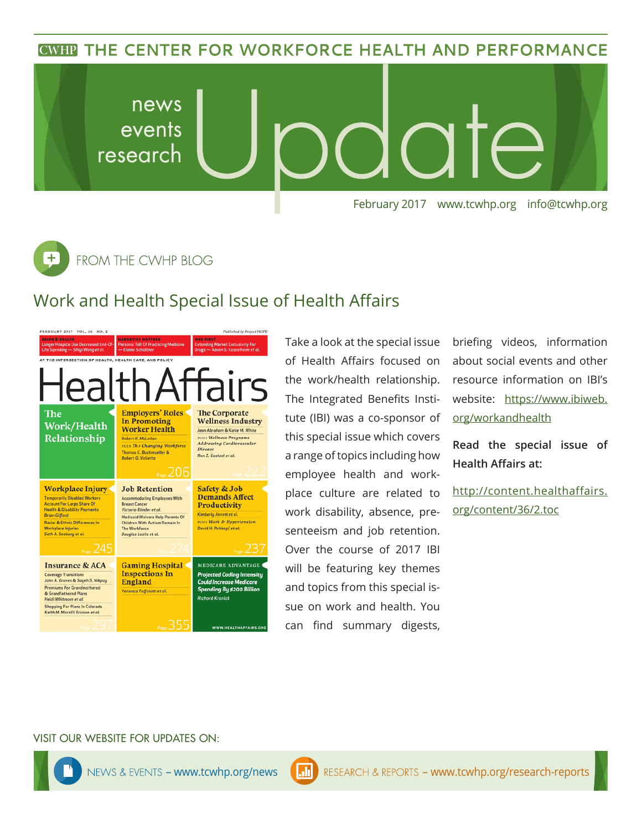## **CWHP THE CENTER FOR WORKFORCE HEALTH AND PERFORMANCE**



 $\overline{\texttt{+}}$ FROM THE CWHP BLOG

## Work and Health Special Issue of Health Affairs



Take a look at the special issue of Health Affairs focused on the work/health relationship. The Integrated Benefits Institute (IBI) was a co-sponsor of this special issue which covers a range of topics including how employee health and workplace culture are related to work disability, absence, presenteeism and job retention. Over the course of 2017 IBI will be featuring key themes and topics from this special issue on work and health. You can find summary digests,

briefing videos, information about social events and other resource information on IBI's website: https://www.ibiweb. org/workandhealth

**Read the special issue of Health Affairs at:**

http://content.healthaffairs. org/content/36/2.toc

#### VISIT OUR WEBSITE FOR UPDATES ON: